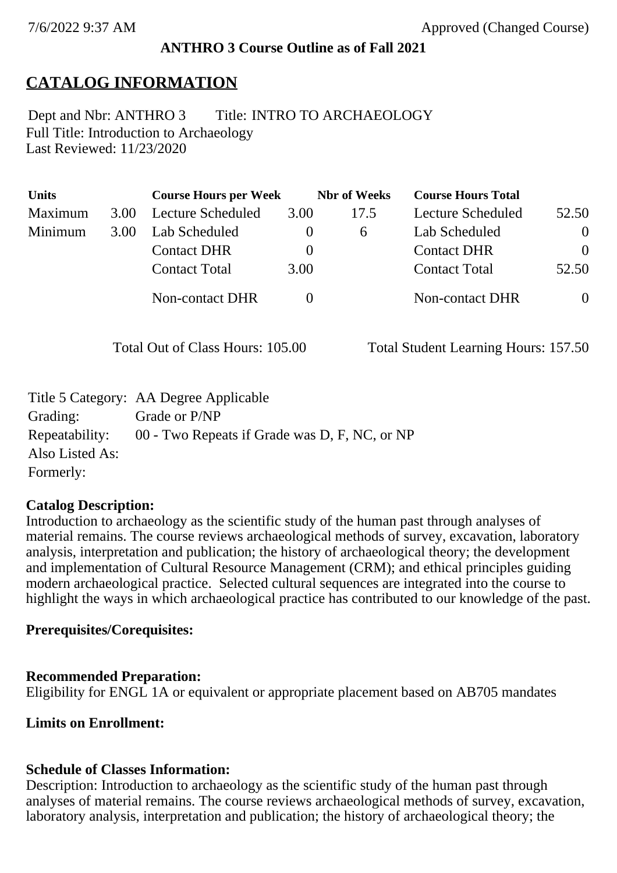## **ANTHRO 3 Course Outline as of Fall 2021**

# **CATALOG INFORMATION**

Full Title: Introduction to Archaeology Last Reviewed: 11/23/2020 Dept and Nbr: ANTHRO 3 Title: INTRO TO ARCHAEOLOGY

| <b>Units</b> |      | <b>Course Hours per Week</b> |          | <b>Nbr</b> of Weeks | <b>Course Hours Total</b> |                |
|--------------|------|------------------------------|----------|---------------------|---------------------------|----------------|
| Maximum      | 3.00 | Lecture Scheduled            | 3.00     | 17.5                | Lecture Scheduled         | 52.50          |
| Minimum      | 3.00 | Lab Scheduled                | $\bf{0}$ | $\sigma$            | Lab Scheduled             | $\overline{0}$ |
|              |      | <b>Contact DHR</b>           | $\theta$ |                     | <b>Contact DHR</b>        | $\Omega$       |
|              |      | <b>Contact Total</b>         | 3.00     |                     | <b>Contact Total</b>      | 52.50          |
|              |      | Non-contact DHR              |          |                     | Non-contact DHR           | $\overline{0}$ |

Total Out of Class Hours: 105.00 Total Student Learning Hours: 157.50

|                 | Title 5 Category: AA Degree Applicable        |
|-----------------|-----------------------------------------------|
| Grading:        | Grade or P/NP                                 |
| Repeatability:  | 00 - Two Repeats if Grade was D, F, NC, or NP |
| Also Listed As: |                                               |
| Formerly:       |                                               |

## **Catalog Description:**

Introduction to archaeology as the scientific study of the human past through analyses of material remains. The course reviews archaeological methods of survey, excavation, laboratory analysis, interpretation and publication; the history of archaeological theory; the development and implementation of Cultural Resource Management (CRM); and ethical principles guiding modern archaeological practice. Selected cultural sequences are integrated into the course to highlight the ways in which archaeological practice has contributed to our knowledge of the past.

## **Prerequisites/Corequisites:**

## **Recommended Preparation:**

Eligibility for ENGL 1A or equivalent or appropriate placement based on AB705 mandates

**Limits on Enrollment:**

## **Schedule of Classes Information:**

Description: Introduction to archaeology as the scientific study of the human past through analyses of material remains. The course reviews archaeological methods of survey, excavation, laboratory analysis, interpretation and publication; the history of archaeological theory; the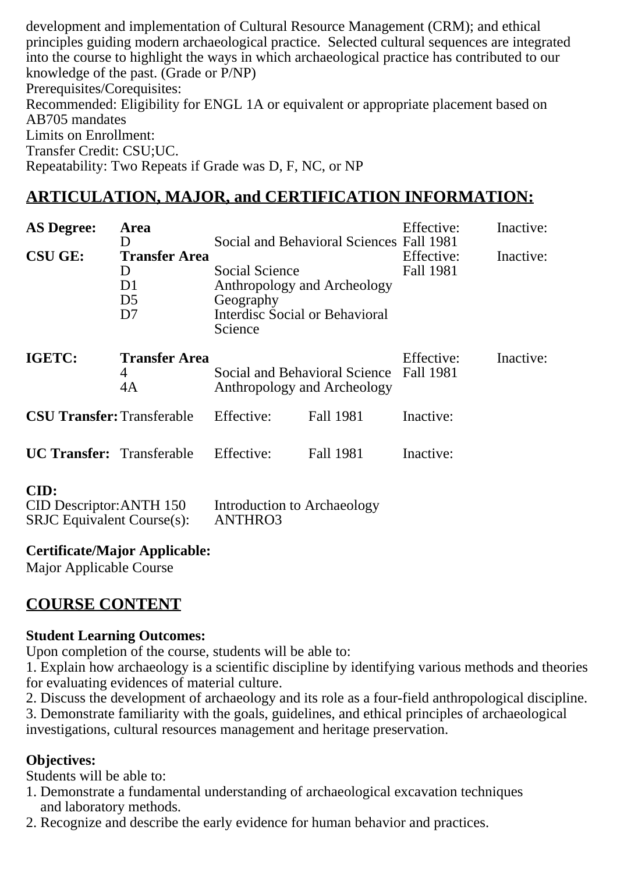development and implementation of Cultural Resource Management (CRM); and ethical principles guiding modern archaeological practice. Selected cultural sequences are integrated into the course to highlight the ways in which archaeological practice has contributed to our knowledge of the past. (Grade or P/NP) Prerequisites/Corequisites: Recommended: Eligibility for ENGL 1A or equivalent or appropriate placement based on AB705 mandates Limits on Enrollment: Transfer Credit: CSU;UC. Repeatability: Two Repeats if Grade was D, F, NC, or NP

## **ARTICULATION, MAJOR, and CERTIFICATION INFORMATION:**

| <b>AS Degree:</b><br><b>CSU GE:</b> | Area<br>I)<br><b>Transfer Area</b><br>$\mathbf{D}$<br>D1<br>D <sub>5</sub><br>D7 | Social Science<br>Anthropology and Archeology<br>Geography<br>Interdisc Social or Behavioral<br>Science | Social and Behavioral Sciences Fall 1981 | Effective:<br>Effective:<br>Fall 1981 | Inactive:<br>Inactive: |
|-------------------------------------|----------------------------------------------------------------------------------|---------------------------------------------------------------------------------------------------------|------------------------------------------|---------------------------------------|------------------------|
| IGETC:                              | <b>Transfer Area</b><br>4<br>4A                                                  | Social and Behavioral Science<br>Anthropology and Archeology                                            |                                          | Effective:<br>Fall 1981               | Inactive:              |
| <b>CSU Transfer: Transferable</b>   |                                                                                  | Effective:                                                                                              | Fall 1981                                | Inactive:                             |                        |
| <b>UC Transfer:</b> Transferable    |                                                                                  | Effective:                                                                                              | <b>Fall 1981</b>                         | Inactive:                             |                        |
| CID:<br>CID Descriptor: ANTH 150    |                                                                                  | Introduction to Archaeology                                                                             |                                          |                                       |                        |

**Certificate/Major Applicable:** 

SRJC Equivalent Course(s): ANTHRO3

[Major Applicable Course](SR_ClassCheck.aspx?CourseKey=ANTHRO3)

## **COURSE CONTENT**

### **Student Learning Outcomes:**

Upon completion of the course, students will be able to:

1. Explain how archaeology is a scientific discipline by identifying various methods and theories for evaluating evidences of material culture.

2. Discuss the development of archaeology and its role as a four-field anthropological discipline.

3. Demonstrate familiarity with the goals, guidelines, and ethical principles of archaeological investigations, cultural resources management and heritage preservation.

## **Objectives:**

Students will be able to:

- 1. Demonstrate a fundamental understanding of archaeological excavation techniques and laboratory methods.
- 2. Recognize and describe the early evidence for human behavior and practices.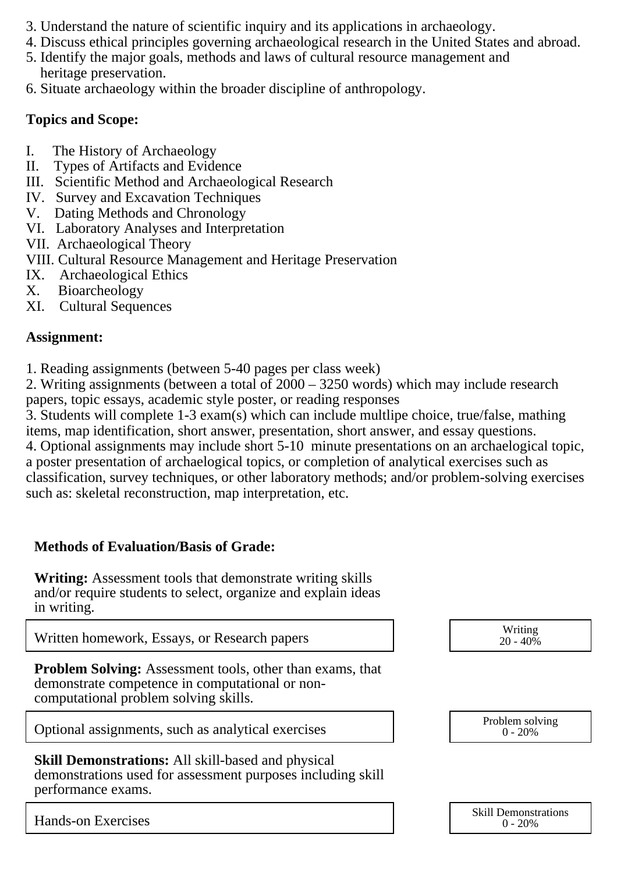- 3. Understand the nature of scientific inquiry and its applications in archaeology.
- 4. Discuss ethical principles governing archaeological research in the United States and abroad.
- 5. Identify the major goals, methods and laws of cultural resource management and heritage preservation.
- 6. Situate archaeology within the broader discipline of anthropology.

### **Topics and Scope:**

- I. The History of Archaeology
- II. Types of Artifacts and Evidence
- III. Scientific Method and Archaeological Research
- IV. Survey and Excavation Techniques
- V. Dating Methods and Chronology
- VI. Laboratory Analyses and Interpretation
- VII. Archaeological Theory
- VIII. Cultural Resource Management and Heritage Preservation
- IX. Archaeological Ethics<br>X. Bioarcheology
- **Bioarcheology**
- XI. Cultural Sequences

### **Assignment:**

1. Reading assignments (between 5-40 pages per class week)

2. Writing assignments (between a total of 2000 – 3250 words) which may include research papers, topic essays, academic style poster, or reading responses

3. Students will complete 1-3 exam(s) which can include multlipe choice, true/false, mathing items, map identification, short answer, presentation, short answer, and essay questions.

4. Optional assignments may include short 5-10 minute presentations on an archaelogical topic, a poster presentation of archaelogical topics, or completion of analytical exercises such as classification, survey techniques, or other laboratory methods; and/or problem-solving exercises such as: skeletal reconstruction, map interpretation, etc.

## **Methods of Evaluation/Basis of Grade:**

**Writing:** Assessment tools that demonstrate writing skills and/or require students to select, organize and explain ideas in writing.

Written homework, Essays, or Research papers

**Problem Solving:** Assessment tools, other than exams, that demonstrate competence in computational or noncomputational problem solving skills.

Optional assignments, such as analytical exercises  $\overline{O(1)}$  Problem solving

**Skill Demonstrations:** All skill-based and physical demonstrations used for assessment purposes including skill performance exams.

Hands-on Exercises

| Writing<br>20 - 40% |  |
|---------------------|--|
|                     |  |



| <b>Skill Demonstrations</b> |
|-----------------------------|
| $0 - 20%$                   |